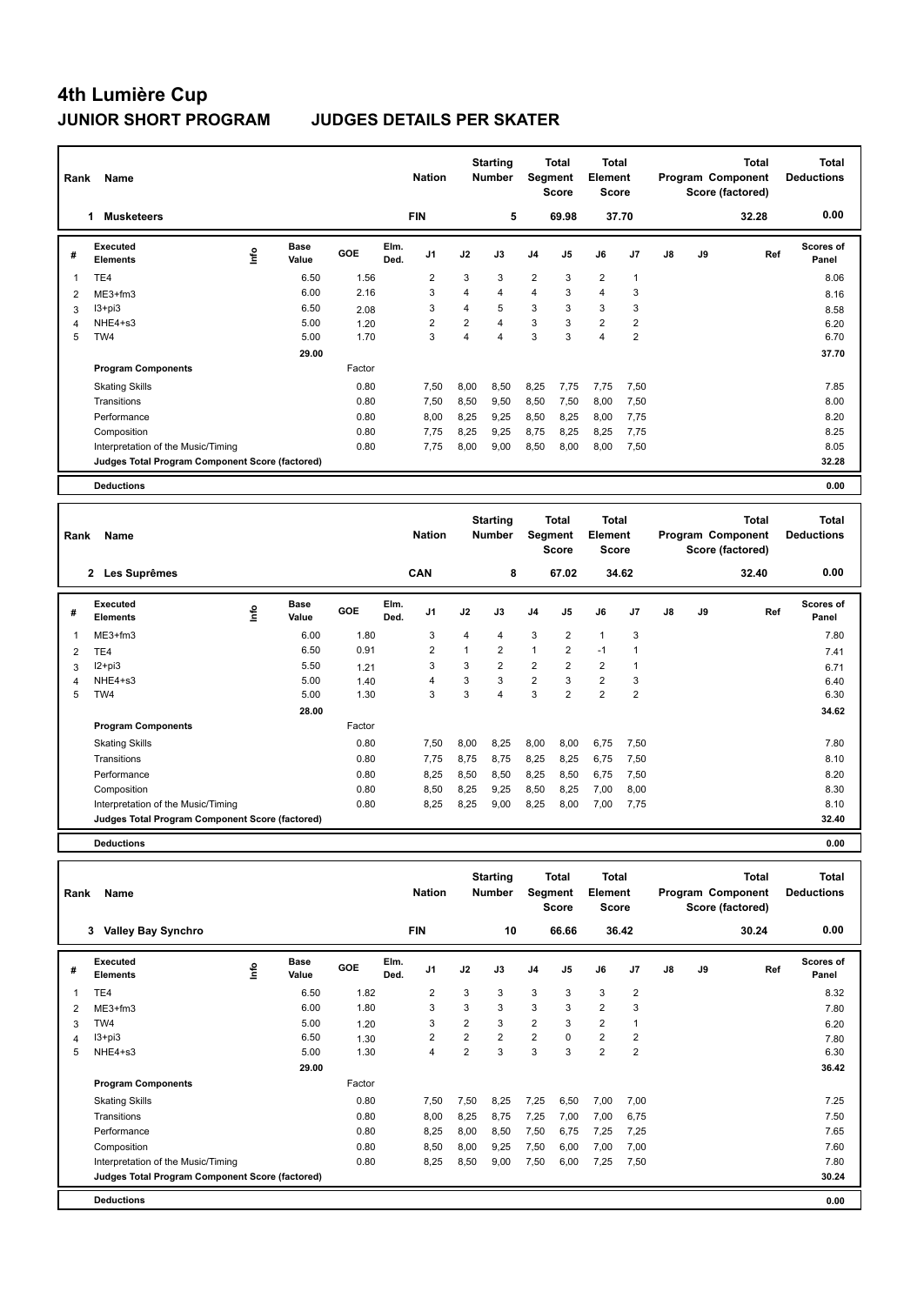| Rank           | Name                                            |                               |                |              | <b>Nation</b>  |                         | <b>Starting</b><br><b>Number</b> |                | <b>Total</b><br><b>Segment</b><br><b>Score</b> | <b>Total</b><br>Element<br><b>Score</b> |                |    |    | <b>Total</b><br>Program Component<br>Score (factored) | <b>Total</b><br><b>Deductions</b> |
|----------------|-------------------------------------------------|-------------------------------|----------------|--------------|----------------|-------------------------|----------------------------------|----------------|------------------------------------------------|-----------------------------------------|----------------|----|----|-------------------------------------------------------|-----------------------------------|
|                | <b>Musketeers</b><br>1.                         |                               |                |              | <b>FIN</b>     |                         | 5                                |                | 69.98                                          | 37.70                                   |                |    |    | 32.28                                                 | 0.00                              |
| #              | <b>Executed</b><br><b>Elements</b>              | <b>Base</b><br>Linfo<br>Value | GOE            | Elm.<br>Ded. | J <sub>1</sub> | J2                      | J3                               | J4             | J <sub>5</sub>                                 | J6                                      | J7             | J8 | J9 | Ref                                                   | <b>Scores of</b><br>Panel         |
| -1             | TE <sub>4</sub>                                 | 6.50                          | 1.56           |              | 2              | 3                       | 3                                | $\overline{2}$ | 3                                              | $\overline{2}$                          | $\overline{1}$ |    |    |                                                       | 8.06                              |
| $\overline{2}$ | ME3+fm3                                         | 6.00                          | 2.16           |              | 3              | $\overline{\mathbf{4}}$ | $\overline{4}$                   | $\overline{4}$ | 3                                              | $\overline{4}$                          | 3              |    |    |                                                       | 8.16                              |
| 3              | $13 + pi3$                                      | 6.50                          | 2.08           |              | 3              | 4                       | 5                                | 3              | 3                                              | 3                                       | 3              |    |    |                                                       | 8.58                              |
| 4              | NHE4+s3                                         | 5.00                          | 1.20           |              | 2              | 2                       | $\overline{4}$                   | 3              | 3                                              | $\overline{2}$                          | $\overline{2}$ |    |    |                                                       | 6.20                              |
| 5              | TW4                                             | 5.00                          | 1.70           |              | 3              | 4                       | $\overline{4}$                   | 3              | 3                                              | $\overline{4}$                          | $\overline{2}$ |    |    |                                                       | 6.70                              |
|                |                                                 | 29.00                         |                |              |                |                         |                                  |                |                                                |                                         |                |    |    |                                                       | 37.70                             |
|                | <b>Program Components</b>                       |                               | Factor         |              |                |                         |                                  |                |                                                |                                         |                |    |    |                                                       |                                   |
|                | <b>Skating Skills</b>                           |                               | 0.80           |              | 7,50           | 8,00                    | 8,50                             | 8,25           | 7,75                                           | 7,75                                    | 7,50           |    |    |                                                       | 7.85                              |
|                | Transitions                                     |                               | 0.80           |              | 7,50           | 8,50                    | 9,50                             | 8,50           | 7,50                                           | 8,00                                    | 7,50           |    |    |                                                       | 8.00                              |
|                | Performance                                     |                               | 0.80           |              | 8,00           | 8,25                    | 9,25                             | 8,50           | 8,25                                           | 8,00                                    | 7,75           |    |    |                                                       | 8.20                              |
|                | Composition                                     |                               | 0.80           |              | 7,75           | 8,25                    | 9,25                             | 8,75           | 8,25                                           | 8,25                                    | 7,75           |    |    |                                                       | 8.25                              |
|                | Interpretation of the Music/Timing              |                               | 0.80           |              | 7,75           | 8,00                    | 9,00                             | 8,50           | 8,00                                           | 8,00                                    | 7,50           |    |    |                                                       | 8.05                              |
|                | Judges Total Program Component Score (factored) |                               |                |              |                |                         |                                  |                |                                                |                                         |                |    |    |                                                       | 32.28                             |
|                | <b>Deductions</b>                               |                               |                |              |                |                         |                                  |                |                                                |                                         |                |    |    |                                                       | 0.00                              |
| Rank           | Name                                            |                               |                |              | <b>Nation</b>  |                         | <b>Starting</b><br><b>Number</b> |                | <b>Total</b><br>Segment<br>Score               | <b>Total</b><br>Element<br><b>Score</b> |                |    |    | <b>Total</b><br>Program Component<br>Score (factored) | <b>Total</b><br><b>Deductions</b> |
|                | 2 Les Suprêmes                                  |                               |                |              | CAN            |                         | 8                                |                | 67.02                                          |                                         | 34.62          |    |    | 32.40                                                 | 0.00                              |
| #              | <b>Executed</b><br><b>Elements</b>              | Base<br>lnfo<br>Value         | GOE            | Elm.<br>Ded. | J1             | J2                      | J3                               | J4             | J5                                             | J6                                      | J7             | J8 | J9 | Ref                                                   | Scores of<br>Panel                |
|                | ME3+fm3                                         | 6.00                          | 1.80           |              | 3              | 4                       | 4                                | 3              | $\overline{\mathbf{c}}$                        | $\mathbf{1}$                            | 3              |    |    |                                                       | 7.80                              |
| $\overline{2}$ | TE <sub>4</sub>                                 | 6.50                          | 0.91           |              | $\overline{2}$ | 1                       | $\overline{2}$                   | $\mathbf{1}$   | $\overline{2}$                                 | $-1$                                    | 1              |    |    |                                                       | 7.41                              |
| $\sim$         | $12+12$                                         | E E                           | $\overline{A}$ |              | $\sim$         | C                       | $\Omega$                         | $\Omega$       | C                                              | $\sim$                                  | $\overline{A}$ |    |    |                                                       | 0.74                              |

|   | TE4                                             | 6.50  | 0.91   | $\overline{2}$ |      | 2              |                | $\overline{2}$ | -1             |      | 7.41  |
|---|-------------------------------------------------|-------|--------|----------------|------|----------------|----------------|----------------|----------------|------|-------|
| 3 | $12+pi3$                                        | 5.50  | 1.21   | 3              | 3    | $\overline{2}$ | $\overline{2}$ | $\overline{2}$ | $\overline{2}$ |      | 6.71  |
| 4 | NHE4+s3                                         | 5.00  | 1.40   | 4              | 3    | 3              | 2              | 3              | $\overline{2}$ | 3    | 6.40  |
| 5 | TW4                                             | 5.00  | 1.30   | 3              | 3    | 4              | 3              | 2              | $\overline{2}$ | 2    | 6.30  |
|   |                                                 | 28.00 |        |                |      |                |                |                |                |      | 34.62 |
|   | <b>Program Components</b>                       |       | Factor |                |      |                |                |                |                |      |       |
|   | <b>Skating Skills</b>                           |       | 0.80   | 7,50           | 8,00 | 8,25           | 8,00           | 8,00           | 6,75           | 7,50 | 7.80  |
|   | Transitions                                     |       | 0.80   | 7.75           | 8,75 | 8.75           | 8,25           | 8,25           | 6,75           | 7,50 | 8.10  |
|   | Performance                                     |       | 0.80   | 8,25           | 8,50 | 8,50           | 8,25           | 8,50           | 6,75           | 7,50 | 8.20  |
|   | Composition                                     |       | 0.80   | 8,50           | 8,25 | 9,25           | 8,50           | 8,25           | 7,00           | 8,00 | 8.30  |
|   | Interpretation of the Music/Timing              |       | 0.80   | 8,25           | 8,25 | 9,00           | 8,25           | 8,00           | 7.00           | 7,75 | 8.10  |
|   | Judges Total Program Component Score (factored) |       |        |                |      |                |                |                |                |      | 32.40 |

**Deductions 0.00**

| Rank | Name                                            |      |                      |        |              | <b>Nation</b>  |                | <b>Starting</b><br><b>Number</b> |                | Total<br>Segment<br><b>Score</b> | <b>Total</b><br>Element<br><b>Score</b> |                |    |    | <b>Total</b><br>Program Component<br>Score (factored) | <b>Total</b><br><b>Deductions</b> |
|------|-------------------------------------------------|------|----------------------|--------|--------------|----------------|----------------|----------------------------------|----------------|----------------------------------|-----------------------------------------|----------------|----|----|-------------------------------------------------------|-----------------------------------|
|      | <b>Valley Bay Synchro</b><br>3                  |      |                      |        |              | <b>FIN</b>     |                | 10                               |                | 66.66                            |                                         | 36.42          |    |    | 30.24                                                 | 0.00                              |
| #    | Executed<br><b>Elements</b>                     | ١nfo | <b>Base</b><br>Value | GOE    | Elm.<br>Ded. | J <sub>1</sub> | J2             | J3                               | J <sub>4</sub> | J <sub>5</sub>                   | J6                                      | J7             | J8 | J9 | Ref                                                   | Scores of<br>Panel                |
| 1    | TE4                                             |      | 6.50                 | 1.82   |              | 2              | 3              | 3                                | 3              | 3                                | 3                                       | $\overline{2}$ |    |    |                                                       | 8.32                              |
| 2    | $ME3+fm3$                                       |      | 6.00                 | 1.80   |              | 3              | 3              | 3                                | 3              | 3                                | 2                                       | 3              |    |    |                                                       | 7.80                              |
| 3    | TW4                                             |      | 5.00                 | 1.20   |              | 3              | $\overline{2}$ | 3                                | $\overline{2}$ | 3                                | 2                                       | 1              |    |    |                                                       | 6.20                              |
| 4    | I3+pi3                                          |      | 6.50                 | 1.30   |              | $\overline{2}$ | $\overline{2}$ | $\overline{2}$                   | $\overline{2}$ | $\Omega$                         | 2                                       | $\overline{2}$ |    |    |                                                       | 7.80                              |
| 5    | NHE4+s3                                         |      | 5.00                 | 1.30   |              | $\overline{4}$ | $\overline{2}$ | 3                                | 3              | 3                                | $\overline{2}$                          | $\overline{2}$ |    |    |                                                       | 6.30                              |
|      |                                                 |      | 29.00                |        |              |                |                |                                  |                |                                  |                                         |                |    |    |                                                       | 36.42                             |
|      | <b>Program Components</b>                       |      |                      | Factor |              |                |                |                                  |                |                                  |                                         |                |    |    |                                                       |                                   |
|      | <b>Skating Skills</b>                           |      |                      | 0.80   |              | 7,50           | 7,50           | 8.25                             | 7,25           | 6,50                             | 7,00                                    | 7,00           |    |    |                                                       | 7.25                              |
|      | Transitions                                     |      |                      | 0.80   |              | 8,00           | 8,25           | 8,75                             | 7,25           | 7,00                             | 7,00                                    | 6,75           |    |    |                                                       | 7.50                              |
|      | Performance                                     |      |                      | 0.80   |              | 8,25           | 8,00           | 8,50                             | 7,50           | 6.75                             | 7,25                                    | 7,25           |    |    |                                                       | 7.65                              |
|      | Composition                                     |      |                      | 0.80   |              | 8,50           | 8,00           | 9,25                             | 7,50           | 6,00                             | 7,00                                    | 7,00           |    |    |                                                       | 7.60                              |
|      | Interpretation of the Music/Timing              |      |                      | 0.80   |              | 8,25           | 8,50           | 9,00                             | 7,50           | 6,00                             | 7,25                                    | 7,50           |    |    |                                                       | 7.80                              |
|      | Judges Total Program Component Score (factored) |      |                      |        |              |                |                |                                  |                |                                  |                                         |                |    |    |                                                       | 30.24                             |
|      | <b>Deductions</b>                               |      |                      |        |              |                |                |                                  |                |                                  |                                         |                |    |    |                                                       | 0.00                              |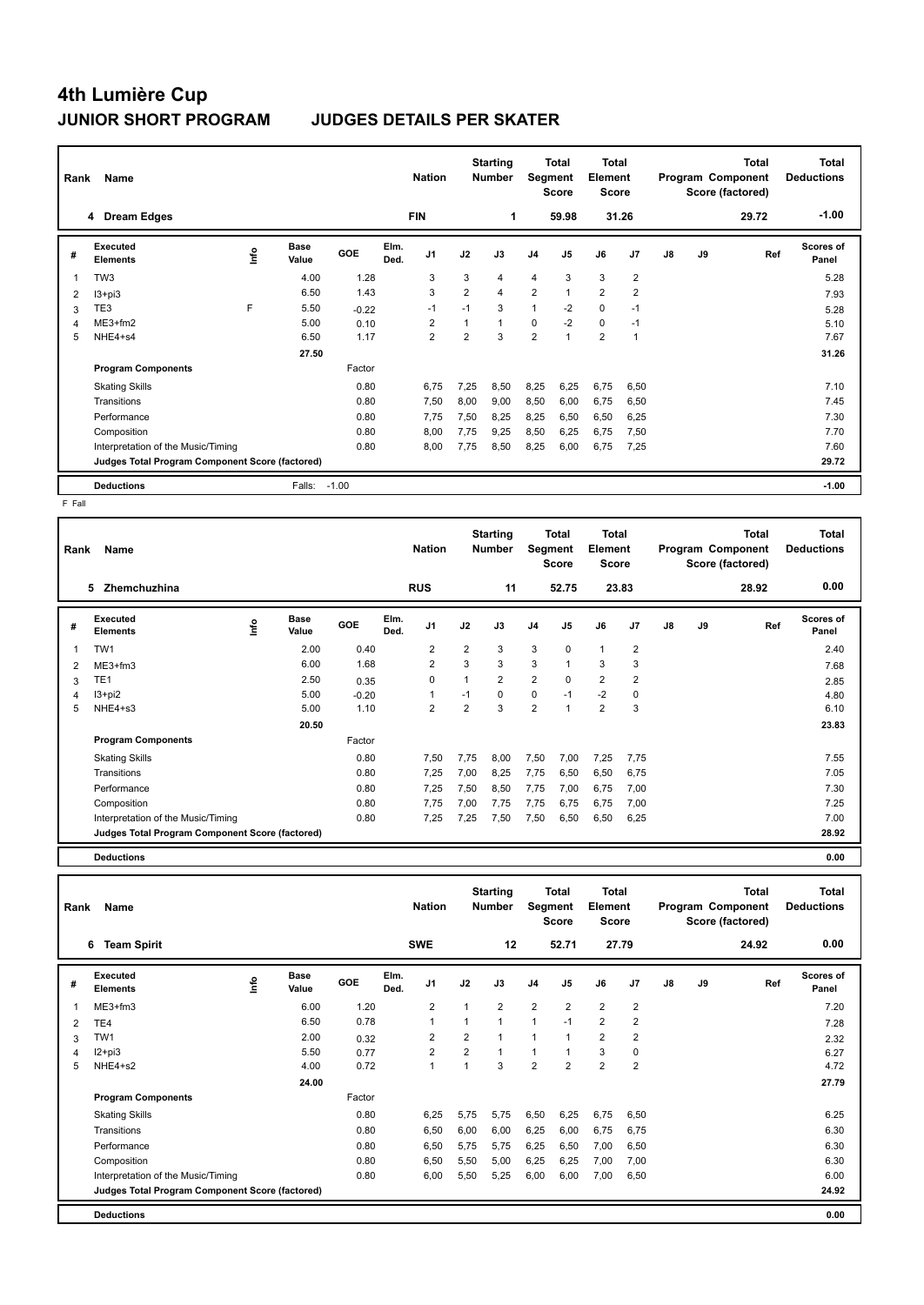| Rank | Name                                            |    |                      |         |              | <b>Nation</b>           |                | <b>Starting</b><br><b>Number</b> | <b>Segment</b> | Total<br><b>Score</b> | <b>Total</b><br>Element<br><b>Score</b> |                |    |    | <b>Total</b><br>Program Component<br>Score (factored) | <b>Total</b><br><b>Deductions</b> |
|------|-------------------------------------------------|----|----------------------|---------|--------------|-------------------------|----------------|----------------------------------|----------------|-----------------------|-----------------------------------------|----------------|----|----|-------------------------------------------------------|-----------------------------------|
|      | <b>Dream Edges</b><br>4                         |    |                      |         |              | <b>FIN</b>              |                | 1                                |                | 59.98                 |                                         | 31.26          |    |    | 29.72                                                 | $-1.00$                           |
| #    | Executed<br><b>Elements</b>                     | ۴ů | <b>Base</b><br>Value | GOE     | Elm.<br>Ded. | J <sub>1</sub>          | J2             | J3                               | J <sub>4</sub> | J <sub>5</sub>        | J6                                      | J <sub>7</sub> | J8 | J9 | Ref                                                   | Scores of<br>Panel                |
| 1    | TW <sub>3</sub>                                 |    | 4.00                 | 1.28    |              | 3                       | 3              | 4                                | 4              | 3                     | 3                                       | $\overline{2}$ |    |    |                                                       | 5.28                              |
| 2    | $13 + pi3$                                      |    | 6.50                 | 1.43    |              | 3                       | $\overline{2}$ | 4                                | $\overline{2}$ |                       | $\overline{2}$                          | $\overline{2}$ |    |    |                                                       | 7.93                              |
| 3    | TE3                                             | F  | 5.50                 | $-0.22$ |              | $-1$                    | $-1$           | 3                                | 1              | $-2$                  | $\mathbf 0$                             | $-1$           |    |    |                                                       | 5.28                              |
| 4    | $ME3+fm2$                                       |    | 5.00                 | 0.10    |              | $\overline{\mathbf{c}}$ |                | $\blacktriangleleft$             | 0              | $-2$                  | $\mathbf 0$                             | $-1$           |    |    |                                                       | 5.10                              |
| 5    | NHE4+s4                                         |    | 6.50                 | 1.17    |              | $\overline{2}$          | $\overline{2}$ | 3                                | $\overline{2}$ | $\overline{ }$        | $\overline{2}$                          | $\overline{1}$ |    |    |                                                       | 7.67                              |
|      |                                                 |    | 27.50                |         |              |                         |                |                                  |                |                       |                                         |                |    |    |                                                       | 31.26                             |
|      | <b>Program Components</b>                       |    |                      | Factor  |              |                         |                |                                  |                |                       |                                         |                |    |    |                                                       |                                   |
|      | <b>Skating Skills</b>                           |    |                      | 0.80    |              | 6.75                    | 7,25           | 8,50                             | 8,25           | 6,25                  | 6,75                                    | 6,50           |    |    |                                                       | 7.10                              |
|      | Transitions                                     |    |                      | 0.80    |              | 7,50                    | 8,00           | 9,00                             | 8,50           | 6,00                  | 6,75                                    | 6,50           |    |    |                                                       | 7.45                              |
|      | Performance                                     |    |                      | 0.80    |              | 7.75                    | 7,50           | 8,25                             | 8,25           | 6,50                  | 6,50                                    | 6,25           |    |    |                                                       | 7.30                              |
|      | Composition                                     |    |                      | 0.80    |              | 8.00                    | 7,75           | 9,25                             | 8,50           | 6,25                  | 6,75                                    | 7,50           |    |    |                                                       | 7.70                              |
|      | Interpretation of the Music/Timing              |    |                      | 0.80    |              | 8,00                    | 7,75           | 8,50                             | 8,25           | 6,00                  | 6,75                                    | 7,25           |    |    |                                                       | 7.60                              |
|      | Judges Total Program Component Score (factored) |    |                      |         |              |                         |                |                                  |                |                       |                                         |                |    |    |                                                       | 29.72                             |
|      | <b>Deductions</b>                               |    | Falls:               | $-1.00$ |              |                         |                |                                  |                |                       |                                         |                |    |    |                                                       | $-1.00$                           |

 $F$  Fall

| Rank | Name                                            |      |                      |         |              | <b>Nation</b>  |                         | <b>Starting</b><br><b>Number</b> | Segment        | <b>Total</b><br><b>Score</b> | <b>Total</b><br>Element<br>Score |                |    |    | Total<br>Program Component<br>Score (factored) | <b>Total</b><br><b>Deductions</b> |
|------|-------------------------------------------------|------|----------------------|---------|--------------|----------------|-------------------------|----------------------------------|----------------|------------------------------|----------------------------------|----------------|----|----|------------------------------------------------|-----------------------------------|
|      | 5<br>Zhemchuzhina                               |      |                      |         |              | <b>RUS</b>     |                         | 11                               |                | 52.75                        |                                  | 23.83          |    |    | 28.92                                          | 0.00                              |
| #    | Executed<br><b>Elements</b>                     | ١nf٥ | <b>Base</b><br>Value | GOE     | Elm.<br>Ded. | J <sub>1</sub> | J2                      | J3                               | J <sub>4</sub> | J5                           | J6                               | J <sub>7</sub> | J8 | J9 | Ref                                            | Scores of<br>Panel                |
|      | TW1                                             |      | 2.00                 | 0.40    |              | $\overline{2}$ | $\overline{2}$          | 3                                | 3              | $\Omega$                     | $\mathbf{1}$                     | $\overline{2}$ |    |    |                                                | 2.40                              |
| 2    | $ME3+fm3$                                       |      | 6.00                 | 1.68    |              | $\overline{2}$ | 3                       | 3                                | 3              | $\overline{ }$               | 3                                | 3              |    |    |                                                | 7.68                              |
| 3    | TE <sub>1</sub>                                 |      | 2.50                 | 0.35    |              | 0              | $\overline{1}$          | $\overline{2}$                   | $\overline{2}$ | $\Omega$                     | $\overline{2}$                   | $\overline{2}$ |    |    |                                                | 2.85                              |
| 4    | $13 + pi2$                                      |      | 5.00                 | $-0.20$ |              | 1              | $-1$                    | 0                                | 0              | $-1$                         | $-2$                             | 0              |    |    |                                                | 4.80                              |
| 5    | NHE4+s3                                         |      | 5.00                 | 1.10    |              | $\overline{2}$ | $\overline{\mathbf{c}}$ | 3                                | $\overline{2}$ | $\overline{\mathbf{1}}$      | $\overline{2}$                   | 3              |    |    |                                                | 6.10                              |
|      |                                                 |      | 20.50                |         |              |                |                         |                                  |                |                              |                                  |                |    |    |                                                | 23.83                             |
|      | <b>Program Components</b>                       |      |                      | Factor  |              |                |                         |                                  |                |                              |                                  |                |    |    |                                                |                                   |
|      | <b>Skating Skills</b>                           |      |                      | 0.80    |              | 7,50           | 7,75                    | 8,00                             | 7,50           | 7,00                         | 7,25                             | 7,75           |    |    |                                                | 7.55                              |
|      | Transitions                                     |      |                      | 0.80    |              | 7,25           | 7,00                    | 8.25                             | 7,75           | 6,50                         | 6,50                             | 6,75           |    |    |                                                | 7.05                              |
|      | Performance                                     |      |                      | 0.80    |              | 7,25           | 7,50                    | 8,50                             | 7,75           | 7,00                         | 6,75                             | 7,00           |    |    |                                                | 7.30                              |
|      | Composition                                     |      |                      | 0.80    |              | 7,75           | 7,00                    | 7.75                             | 7,75           | 6.75                         | 6,75                             | 7,00           |    |    |                                                | 7.25                              |
|      | Interpretation of the Music/Timing              |      |                      | 0.80    |              | 7,25           | 7,25                    | 7,50                             | 7,50           | 6,50                         | 6,50                             | 6,25           |    |    |                                                | 7.00                              |
|      | Judges Total Program Component Score (factored) |      |                      |         |              |                |                         |                                  |                |                              |                                  |                |    |    |                                                | 28.92                             |
|      | <b>Deductions</b>                               |      |                      |         |              |                |                         |                                  |                |                              |                                  |                |    |    |                                                | 0.00                              |

| Rank | <b>Name</b>                                     |      |                      |        |              | <b>Nation</b>  |                | <b>Starting</b><br><b>Number</b> | Segment        | <b>Total</b><br><b>Score</b> | Total<br>Element<br><b>Score</b> |                         |    |    | <b>Total</b><br>Program Component<br>Score (factored) | <b>Total</b><br><b>Deductions</b> |
|------|-------------------------------------------------|------|----------------------|--------|--------------|----------------|----------------|----------------------------------|----------------|------------------------------|----------------------------------|-------------------------|----|----|-------------------------------------------------------|-----------------------------------|
|      | 6<br><b>Team Spirit</b>                         |      |                      |        |              | <b>SWE</b>     |                | 12                               |                | 52.71                        |                                  | 27.79                   |    |    | 24.92                                                 | 0.00                              |
| #    | Executed<br><b>Elements</b>                     | ١nf٥ | <b>Base</b><br>Value | GOE    | Elm.<br>Ded. | J <sub>1</sub> | J2             | J3                               | J <sub>4</sub> | J <sub>5</sub>               | J6                               | J <sub>7</sub>          | J8 | J9 | Ref                                                   | <b>Scores of</b><br>Panel         |
| 1    | $ME3+fm3$                                       |      | 6.00                 | 1.20   |              | $\overline{2}$ | 1              | $\overline{2}$                   | $\overline{2}$ | $\overline{2}$               | $\overline{2}$                   | $\overline{2}$          |    |    |                                                       | 7.20                              |
| 2    | TE <sub>4</sub>                                 |      | 6.50                 | 0.78   |              | 1              | 1              |                                  | $\mathbf{1}$   | $-1$                         | $\overline{2}$                   | $\overline{\mathbf{c}}$ |    |    |                                                       | 7.28                              |
| 3    | TW <sub>1</sub>                                 |      | 2.00                 | 0.32   |              | 2              | $\overline{2}$ |                                  | $\mathbf{1}$   | $\mathbf{1}$                 | $\overline{2}$                   | $\overline{\mathbf{c}}$ |    |    |                                                       | 2.32                              |
| 4    | $12+pi3$                                        |      | 5.50                 | 0.77   |              | $\overline{2}$ | $\overline{2}$ | 1                                | $\mathbf{1}$   | $\mathbf{1}$                 | 3                                | 0                       |    |    |                                                       | 6.27                              |
| 5    | NHE4+s2                                         |      | 4.00                 | 0.72   |              | 1              | 1              | 3                                | $\overline{2}$ | $\overline{2}$               | $\overline{2}$                   | $\overline{\mathbf{c}}$ |    |    |                                                       | 4.72                              |
|      |                                                 |      | 24.00                |        |              |                |                |                                  |                |                              |                                  |                         |    |    |                                                       | 27.79                             |
|      | <b>Program Components</b>                       |      |                      | Factor |              |                |                |                                  |                |                              |                                  |                         |    |    |                                                       |                                   |
|      | <b>Skating Skills</b>                           |      |                      | 0.80   |              | 6.25           | 5,75           | 5,75                             | 6,50           | 6,25                         | 6,75                             | 6,50                    |    |    |                                                       | 6.25                              |
|      | Transitions                                     |      |                      | 0.80   |              | 6.50           | 6,00           | 6,00                             | 6,25           | 6,00                         | 6.75                             | 6,75                    |    |    |                                                       | 6.30                              |
|      | Performance                                     |      |                      | 0.80   |              | 6,50           | 5.75           | 5.75                             | 6,25           | 6,50                         | 7,00                             | 6,50                    |    |    |                                                       | 6.30                              |
|      | Composition                                     |      |                      | 0.80   |              | 6.50           | 5,50           | 5,00                             | 6,25           | 6,25                         | 7.00                             | 7,00                    |    |    |                                                       | 6.30                              |
|      | Interpretation of the Music/Timing              |      |                      | 0.80   |              | 6.00           | 5,50           | 5,25                             | 6,00           | 6.00                         | 7.00                             | 6,50                    |    |    |                                                       | 6.00                              |
|      | Judges Total Program Component Score (factored) |      |                      |        |              |                |                |                                  |                |                              |                                  |                         |    |    |                                                       | 24.92                             |
|      | <b>Deductions</b>                               |      |                      |        |              |                |                |                                  |                |                              |                                  |                         |    |    |                                                       | 0.00                              |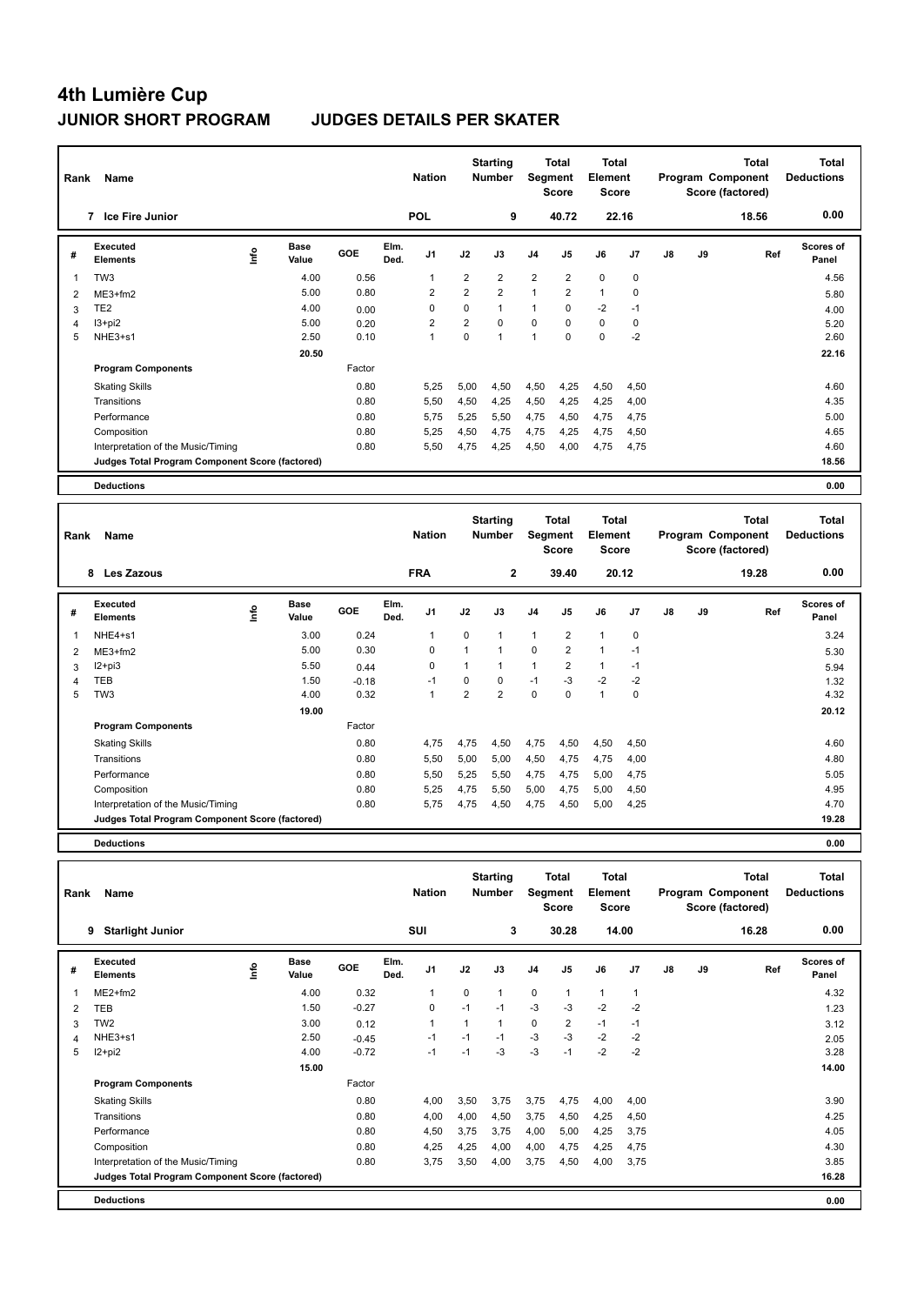| Rank           | Name                                            |                            |        |              | <b>Nation</b>  |                | <b>Starting</b><br><b>Number</b> |                         | <b>Total</b><br><b>Segment</b><br><b>Score</b> | <b>Total</b><br>Element<br>Score        |                |               |    | <b>Total</b><br>Program Component<br>Score (factored) | <b>Total</b><br><b>Deductions</b> |
|----------------|-------------------------------------------------|----------------------------|--------|--------------|----------------|----------------|----------------------------------|-------------------------|------------------------------------------------|-----------------------------------------|----------------|---------------|----|-------------------------------------------------------|-----------------------------------|
|                | 7 Ice Fire Junior                               |                            |        |              | <b>POL</b>     |                | 9                                |                         | 40.72                                          |                                         | 22.16          |               |    | 18.56                                                 | 0.00                              |
| #              | <b>Executed</b><br><b>Elements</b>              | <b>Base</b><br>۴ů<br>Value | GOE    | Elm.<br>Ded. | J1             | J2             | J3                               | J4                      | J <sub>5</sub>                                 | J6                                      | J7             | $\mathsf{J}8$ | J9 | Ref                                                   | Scores of<br>Panel                |
| -1             | TW <sub>3</sub>                                 | 4.00                       | 0.56   |              | 1              | 2              | $\overline{2}$                   | $\overline{\mathbf{c}}$ | $\overline{\mathbf{c}}$                        | $\mathbf 0$                             | $\mathbf 0$    |               |    |                                                       | 4.56                              |
| $\overline{2}$ | ME3+fm2                                         | 5.00                       | 0.80   |              | $\overline{2}$ | $\overline{2}$ | $\overline{2}$                   | $\mathbf{1}$            | $\overline{2}$                                 | $\mathbf{1}$                            | 0              |               |    |                                                       | 5.80                              |
| 3              | TE <sub>2</sub>                                 | 4.00                       | 0.00   |              | 0              | 0              | $\mathbf{1}$                     | $\mathbf{1}$            | 0                                              | $-2$                                    | $-1$           |               |    |                                                       | 4.00                              |
| 4              | $13 + pi2$                                      | 5.00                       | 0.20   |              | 2              | $\overline{2}$ | $\mathbf 0$                      | 0                       | $\Omega$                                       | $\mathbf 0$                             | $\mathbf 0$    |               |    |                                                       | 5.20                              |
| 5              | NHE3+s1                                         | 2.50                       | 0.10   |              | $\mathbf{1}$   | 0              | $\mathbf{1}$                     | $\mathbf{1}$            | $\mathbf 0$                                    | $\mathbf 0$                             | $-2$           |               |    |                                                       | 2.60                              |
|                |                                                 | 20.50                      |        |              |                |                |                                  |                         |                                                |                                         |                |               |    |                                                       | 22.16                             |
|                | <b>Program Components</b>                       |                            | Factor |              |                |                |                                  |                         |                                                |                                         |                |               |    |                                                       |                                   |
|                | <b>Skating Skills</b>                           |                            | 0.80   |              | 5,25           | 5,00           | 4,50                             | 4,50                    | 4,25                                           | 4,50                                    | 4,50           |               |    |                                                       | 4.60                              |
|                | Transitions                                     |                            | 0.80   |              | 5,50           | 4,50           | 4,25                             | 4,50                    | 4,25                                           | 4,25                                    | 4,00           |               |    |                                                       | 4.35                              |
|                | Performance                                     |                            | 0.80   |              | 5,75           | 5,25           | 5,50                             | 4,75                    | 4,50                                           | 4,75                                    | 4,75           |               |    |                                                       | 5.00                              |
|                | Composition                                     |                            | 0.80   |              | 5,25           | 4,50           | 4,75                             | 4,75                    | 4,25                                           | 4,75                                    | 4,50           |               |    |                                                       | 4.65                              |
|                | Interpretation of the Music/Timing              |                            | 0.80   |              | 5,50           | 4,75           | 4,25                             | 4,50                    | 4,00                                           | 4,75                                    | 4,75           |               |    |                                                       | 4.60                              |
|                | Judges Total Program Component Score (factored) |                            |        |              |                |                |                                  |                         |                                                |                                         |                |               |    |                                                       | 18.56                             |
|                |                                                 |                            |        |              |                |                |                                  |                         |                                                |                                         |                |               |    |                                                       |                                   |
|                | <b>Deductions</b>                               |                            |        |              |                |                |                                  |                         |                                                |                                         |                |               |    |                                                       | 0.00                              |
| Rank           | Name                                            |                            |        |              | <b>Nation</b>  |                | <b>Starting</b><br><b>Number</b> |                         | <b>Total</b><br><b>Segment</b><br><b>Score</b> | <b>Total</b><br>Element<br><b>Score</b> |                |               |    | <b>Total</b><br>Program Component<br>Score (factored) | <b>Total</b><br><b>Deductions</b> |
|                | 8 Les Zazous                                    |                            |        |              | <b>FRA</b>     |                | $\mathbf{2}$                     |                         | 39.40                                          |                                         | 20.12          |               |    | 19.28                                                 | 0.00                              |
| #              | <b>Executed</b><br><b>Elements</b>              | Base<br>١m<br>Value        | GOE    | Elm.<br>Ded. | J <sub>1</sub> | J2             | J3                               | J <sub>4</sub>          | J <sub>5</sub>                                 | J6                                      | J7             | $\mathsf{J}8$ | J9 | Ref                                                   | <b>Scores of</b><br>Panel         |
| 1              | NHE4+s1                                         | 3.00                       | 0.24   |              | 1              | 0              | $\mathbf{1}$                     | $\mathbf{1}$            | $\overline{2}$                                 | $\mathbf{1}$                            | 0              |               |    |                                                       | 3.24                              |
|                | $MTO.5-0$                                       | E OO                       | 0.20   |              | $\Omega$       | $\overline{ }$ | $\overline{A}$                   | $\Omega$                | $\Omega$                                       | $\overline{ }$                          | $\overline{ }$ |               |    |                                                       | $F \Omega$                        |

| # | Executed<br>Elements                            | ١m٥ | pase<br>Value | <b>GOE</b> | сш.<br>Ded. | J <sub>1</sub> | J2   | J3   | J <sub>4</sub> | J5   | J6   | J7   | $\mathsf{J}8$ | J9 | Ref | <b>SCORES OF</b><br>Panel |  |
|---|-------------------------------------------------|-----|---------------|------------|-------------|----------------|------|------|----------------|------|------|------|---------------|----|-----|---------------------------|--|
|   | NHE4+s1                                         |     | 3.00          | 0.24       |             | 1              | 0    |      |                | 2    |      | 0    |               |    |     | 3.24                      |  |
|   | $ME3+fm2$                                       |     | 5.00          | 0.30       |             | 0              | 1    |      | 0              | 2    |      | $-1$ |               |    |     | 5.30                      |  |
| 3 | $12 + pi3$                                      |     | 5.50          | 0.44       |             | 0              | 1    |      |                | 2    |      | $-1$ |               |    |     | 5.94                      |  |
|   | TEB                                             |     | 1.50          | $-0.18$    |             | -1             | 0    | 0    | $-1$           | $-3$ | $-2$ | $-2$ |               |    |     | 1.32                      |  |
| 5 | TW3                                             |     | 4.00          | 0.32       |             | 1              | 2    | 2    | 0              | 0    |      | 0    |               |    |     | 4.32                      |  |
|   |                                                 |     | 19.00         |            |             |                |      |      |                |      |      |      |               |    |     | 20.12                     |  |
|   | <b>Program Components</b>                       |     |               | Factor     |             |                |      |      |                |      |      |      |               |    |     |                           |  |
|   | <b>Skating Skills</b>                           |     |               | 0.80       |             | 4,75           | 4,75 | 4,50 | 4,75           | 4,50 | 4,50 | 4,50 |               |    |     | 4.60                      |  |
|   | Transitions                                     |     |               | 0.80       |             | 5,50           | 5,00 | 5,00 | 4,50           | 4,75 | 4,75 | 4,00 |               |    |     | 4.80                      |  |
|   | Performance                                     |     |               | 0.80       |             | 5,50           | 5,25 | 5,50 | 4,75           | 4,75 | 5,00 | 4,75 |               |    |     | 5.05                      |  |
|   | Composition                                     |     |               | 0.80       |             | 5,25           | 4,75 | 5,50 | 5,00           | 4,75 | 5,00 | 4,50 |               |    |     | 4.95                      |  |
|   | Interpretation of the Music/Timing              |     |               | 0.80       |             | 5,75           | 4,75 | 4,50 | 4,75           | 4,50 | 5,00 | 4,25 |               |    |     | 4.70                      |  |
|   | Judges Total Program Component Score (factored) |     |               |            |             |                |      |      |                |      |      |      |               |    |     | 19.28                     |  |
|   | <b>Deductions</b>                               |     |               |            |             |                |      |      |                |      |      |      |               |    |     | 0.00                      |  |

**Total Deductions Total Program Component Score (factored) Total Element Score Total Segment Score Starting Rank Name Nation Number # Executed Elements Base Value GOE J1 J2 J3 J4 J5 J6 J7 J8 J9 Scores of Panel** 1 ME2+fm2 4.00 0.32 1 0 1 0 1 1 1 **Ref**  4.32 **Elm. Ded.**  ME2+fm2 **Info 9 Starlight Junior SUI 3 30.28 14.00 16.28 0.00** 2 TEB 1.50 -0.27 0 -1 -1 -3 -3 -2 -2 1.23 3 TW2 3.00 0.12 1 1 1 0 2 -1 -1 3.12 4 NHE3+s1 2.50 -0.45 -1 -1 -1 -3 -3 -2 -2 2.05 5 I2+pi2 4.00 -0.72 -1 -1 -3 -3 -1 -2 -2 3.28  **15.00 14.00 Program Components**  Skating Skills 4,00 3,50 3,75 3,75 4,75 4,00 4,00 Factor 0.80 4,00 3,50 3,75 3,75 4,75 4,00 4,00 Transitions 0.80 4,00 4,00 4,50 3,75 4,50 4,25 4,50 4.25 Performance 0.80 4,50 3,75 3,75 4,00 5,00 4,25 3,75 4.05 Composition 0.80 4,25 4,25 4,00 4,00 4,75 4,25 4,75 4.30 Interpretation of the Music/Timing 0.80 3,75 3,50 4,00 3,75 4,50 4,00 3,75 3.85 **Deductions 0.00 Judges Total Program Component Score (factored) 16.28**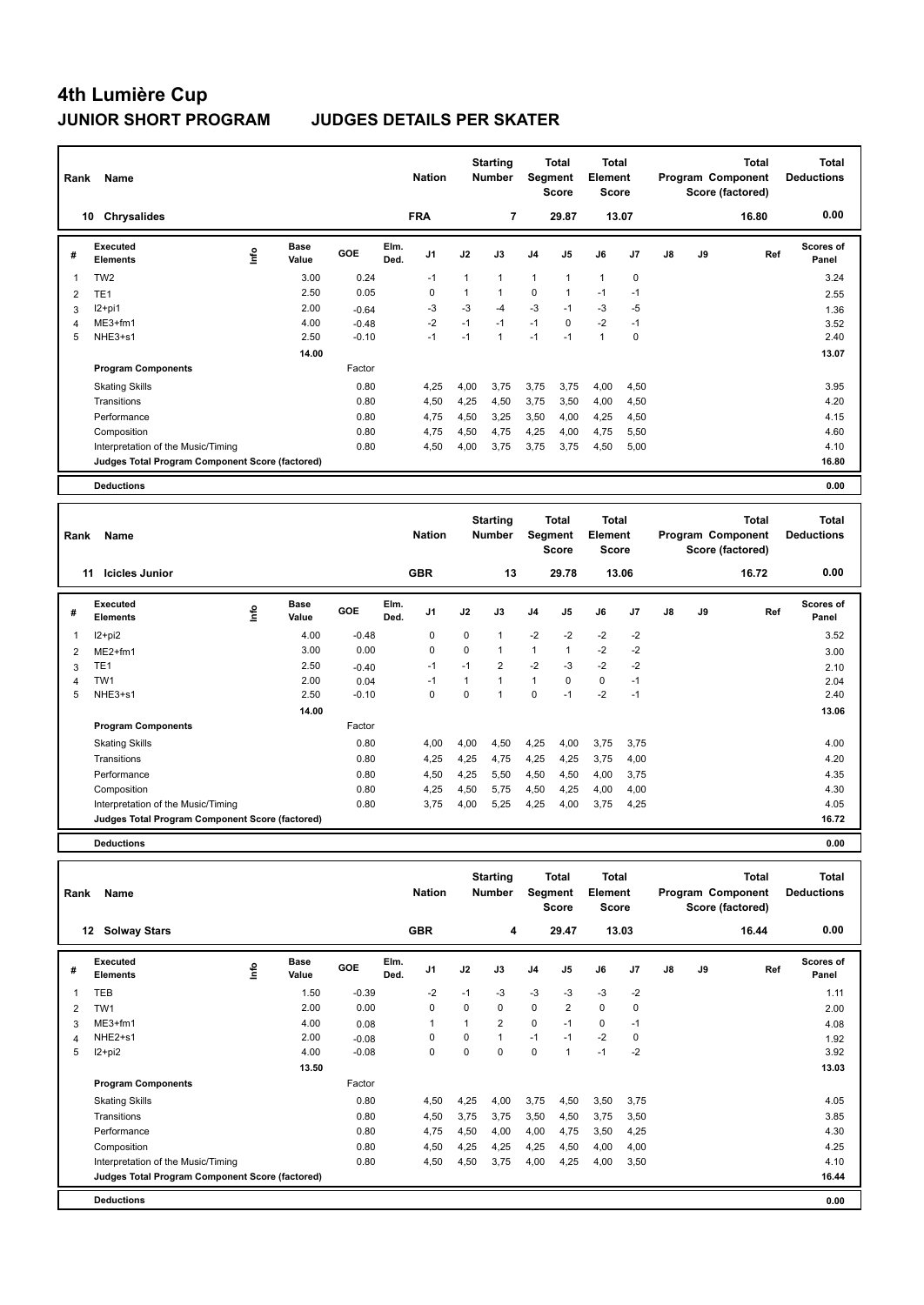| Rank                    | Name                                            |                            |         |              | <b>Nation</b>  |              | <b>Starting</b><br><b>Number</b> |                | <b>Total</b><br>Segment<br><b>Score</b> | Total<br>Element<br><b>Score</b>        |             |               | Program Component<br>Score (factored) | <b>Total</b> | Total<br><b>Deductions</b>        |
|-------------------------|-------------------------------------------------|----------------------------|---------|--------------|----------------|--------------|----------------------------------|----------------|-----------------------------------------|-----------------------------------------|-------------|---------------|---------------------------------------|--------------|-----------------------------------|
|                         | <b>Chrysalides</b><br>10                        |                            |         |              | <b>FRA</b>     |              | $\overline{7}$                   |                | 29.87                                   |                                         | 13.07       |               |                                       | 16.80        | 0.00                              |
| #                       | Executed<br><b>Elements</b>                     | <b>Base</b><br>۴ů<br>Value | GOE     | Elm.<br>Ded. | J <sub>1</sub> | J2           | J3                               | J <sub>4</sub> | J5                                      | J6                                      | J7          | $\mathsf{J}8$ | J9                                    | Ref          | Scores of<br>Panel                |
| $\overline{\mathbf{1}}$ | TW <sub>2</sub>                                 | 3.00                       | 0.24    |              | $-1$           | $\mathbf{1}$ | $\mathbf{1}$                     | $\mathbf{1}$   | $\mathbf{1}$                            | $\mathbf{1}$                            | 0           |               |                                       |              | 3.24                              |
| $\overline{2}$          | TE <sub>1</sub>                                 | 2.50                       | 0.05    |              | 0              | $\mathbf{1}$ | $\mathbf{1}$                     | 0              | $\mathbf{1}$                            | $-1$                                    | $-1$        |               |                                       |              | 2.55                              |
| 3                       | $12+pi1$                                        | 2.00                       | $-0.64$ |              | $-3$           | $-3$         | $-4$                             | $-3$           | $-1$                                    | $-3$                                    | $-5$        |               |                                       |              | 1.36                              |
| $\overline{4}$          | $ME3+fm1$                                       | 4.00                       | $-0.48$ |              | $-2$           | $-1$         | $-1$                             | $-1$           | $\Omega$                                | $-2$                                    | $-1$        |               |                                       |              | 3.52                              |
| 5                       | NHE3+s1                                         | 2.50                       | $-0.10$ |              | $-1$           | $-1$         | $\mathbf{1}$                     | $-1$           | $-1$                                    | $\mathbf{1}$                            | $\mathbf 0$ |               |                                       |              | 2.40                              |
|                         |                                                 | 14.00                      |         |              |                |              |                                  |                |                                         |                                         |             |               |                                       |              | 13.07                             |
|                         | <b>Program Components</b>                       |                            | Factor  |              |                |              |                                  |                |                                         |                                         |             |               |                                       |              |                                   |
|                         | <b>Skating Skills</b>                           |                            | 0.80    |              | 4,25           | 4,00         | 3,75                             | 3,75           | 3,75                                    | 4,00                                    | 4,50        |               |                                       |              | 3.95                              |
|                         | Transitions                                     |                            | 0.80    |              | 4,50           | 4,25         | 4,50                             | 3,75           | 3,50                                    | 4,00                                    | 4,50        |               |                                       |              | 4.20                              |
|                         | Performance                                     |                            | 0.80    |              | 4,75           | 4,50         | 3,25                             | 3,50           | 4,00                                    | 4,25                                    | 4,50        |               |                                       |              | 4.15                              |
|                         | Composition                                     |                            | 0.80    |              | 4.75           | 4.50         | 4.75                             | 4,25           | 4.00                                    | 4.75                                    | 5.50        |               |                                       |              | 4.60                              |
|                         | Interpretation of the Music/Timing              |                            | 0.80    |              | 4,50           | 4,00         | 3,75                             | 3,75           | 3,75                                    | 4,50                                    | 5,00        |               |                                       |              | 4.10                              |
|                         | Judges Total Program Component Score (factored) |                            |         |              |                |              |                                  |                |                                         |                                         |             |               |                                       |              | 16.80                             |
|                         | <b>Deductions</b>                               |                            |         |              |                |              |                                  |                |                                         |                                         |             |               |                                       |              | 0.00                              |
|                         |                                                 |                            |         |              |                |              |                                  |                |                                         |                                         |             |               |                                       |              |                                   |
| Rank                    | Name                                            |                            |         |              | <b>Nation</b>  |              | <b>Starting</b><br><b>Number</b> |                | Total<br><b>Segment</b><br><b>Score</b> | <b>Total</b><br>Element<br><b>Score</b> |             |               | Program Component<br>Score (factored) | <b>Total</b> | <b>Total</b><br><b>Deductions</b> |
|                         | <b>Icicles Junior</b><br>11                     |                            |         |              | <b>GBR</b>     |              | 13                               |                | 29.78                                   |                                         | 13.06       |               |                                       | 16.72        | 0.00                              |
| #                       | Executed<br><b>Elements</b>                     | <b>Base</b><br>١m<br>Value | GOE     | Elm.<br>Ded. | J1             | J2           | J3                               | J <sub>4</sub> | J <sub>5</sub>                          | J6                                      | J7          | $\mathsf{J}8$ | J9                                    | Ref          | Scores of<br>Panel                |
| -1                      | $12+pi2$                                        | 4.00                       | $-0.48$ |              | $\Omega$       | 0            | $\mathbf{1}$                     | $-2$           | $-2$                                    | $-2$                                    | $-2$        |               |                                       |              | 3.52                              |
|                         |                                                 |                            |         |              |                |              |                                  |                |                                         |                                         |             |               |                                       |              |                                   |

| # | Executed<br><b>Elements</b>                     | ١m | pase<br>Value | <b>GOE</b> | cım.<br>Ded. | J1   | J2   | J3   | J4   | J5   | J6       | J7   | J8 | J9 | Ref | <b>SCORES OF</b><br>Panel |
|---|-------------------------------------------------|----|---------------|------------|--------------|------|------|------|------|------|----------|------|----|----|-----|---------------------------|
|   | $12+pi2$                                        |    | 4.00          | $-0.48$    |              | 0    | 0    |      | $-2$ | $-2$ | $-2$     | $-2$ |    |    |     | 3.52                      |
| 2 | $ME2+fm1$                                       |    | 3.00          | 0.00       |              | 0    | 0    |      |      |      | $-2$     | $-2$ |    |    |     | 3.00                      |
| 3 | TE <sub>1</sub>                                 |    | 2.50          | $-0.40$    |              | $-1$ | $-1$ | 2    | $-2$ | -3   | $-2$     | $-2$ |    |    |     | 2.10                      |
| 4 | TW <sub>1</sub>                                 |    | 2.00          | 0.04       |              | $-1$ | 1    |      |      | 0    | $\Omega$ | $-1$ |    |    |     | 2.04                      |
| 5 | NHE3+s1                                         |    | 2.50          | $-0.10$    |              | 0    | 0    |      | 0    | $-1$ | $-2$     | $-1$ |    |    |     | 2.40                      |
|   |                                                 |    | 14.00         |            |              |      |      |      |      |      |          |      |    |    |     | 13.06                     |
|   | <b>Program Components</b>                       |    |               | Factor     |              |      |      |      |      |      |          |      |    |    |     |                           |
|   | <b>Skating Skills</b>                           |    |               | 0.80       |              | 4,00 | 4,00 | 4,50 | 4,25 | 4,00 | 3,75     | 3,75 |    |    |     | 4.00                      |
|   | Transitions                                     |    |               | 0.80       |              | 4,25 | 4,25 | 4,75 | 4,25 | 4,25 | 3,75     | 4,00 |    |    |     | 4.20                      |
|   | Performance                                     |    |               | 0.80       |              | 4,50 | 4,25 | 5,50 | 4,50 | 4,50 | 4,00     | 3,75 |    |    |     | 4.35                      |
|   | Composition                                     |    |               | 0.80       |              | 4,25 | 4,50 | 5,75 | 4,50 | 4,25 | 4,00     | 4,00 |    |    |     | 4.30                      |
|   | Interpretation of the Music/Timing              |    |               | 0.80       |              | 3,75 | 4,00 | 5,25 | 4,25 | 4,00 | 3,75     | 4,25 |    |    |     | 4.05                      |
|   | Judges Total Program Component Score (factored) |    |               |            |              |      |      |      |      |      |          |      |    |    |     | 16.72                     |
|   | <b>Deductions</b>                               |    |               |            |              |      |      |      |      |      |          |      |    |    |     | 0.00                      |

**Deductions 0.00**

**Total Deductions**

> **Scores of Panel**

> > 1.11

**Total**

**Ref** 

**Program Component Score (factored) Total Element Score Total Segment Score Starting Rank Name Nation Number # Executed Elements Base Value GOE J1 J2 J3 J4 J5 J6 J7 J8 J9**  1 1.50 -0.39 -2 -1 -3 -3 -3 -3 -2 **Elm. Ded.**  TEB **Info 12 Solway Stars GBR 4 29.47 13.03 16.44 0.00** 2 TW1 2.00 0.00 0 0 0 0 2 0 0 2.00 3 ME3+fm1 4.00 0.08 1 1 2 0 -1 0 -1 4.08 4 NHE2+s1 2.00 -0.08 0 0 1 -1 -1 -2 0 1.92 5 I2+pi2 4.00 -0.08 0 0 0 0 1 -1 -2 3.92  **13.50** 13.03 **Program Components**  Skating Skills **4,50 a** 4,50 a 4,50 a 4,50 a 4,50 a 4,50 a 5,50 a 5,75 a 5,50 a 5,75 a 5,75 a 5,75 a 5,75 a 5,75 Factor 0.80 4,50 4,25 4,00 3,75 4,50 3,50 3,75 Transitions 0.80 4,50 3,75 3,75 3,50 4,50 3,75 3,50 3.85 Performance 0.80 4,75 4,50 4,00 4,00 4,75 3,50 4,25 4.30 Composition 0.80 4,50 4,25 4,25 4,25 4,50 4,00 4,00 4.25 Interpretation of the Music/Timing 0.80 4,50 4,50 4,50 3,75 4,00 4,25 4,00 3,50 4.10 **Judges Total Program Component Score (factored) 16.44**